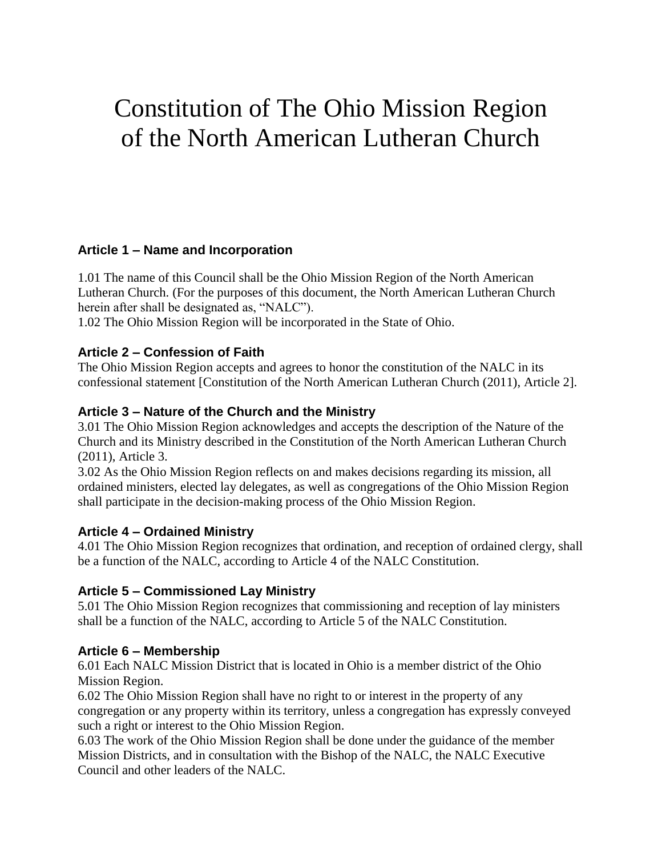# Constitution of The Ohio Mission Region of the North American Lutheran Church

# **Article 1 – Name and Incorporation**

1.01 The name of this Council shall be the Ohio Mission Region of the North American Lutheran Church. (For the purposes of this document, the North American Lutheran Church herein after shall be designated as, "NALC").

1.02 The Ohio Mission Region will be incorporated in the State of Ohio.

# **Article 2 – Confession of Faith**

The Ohio Mission Region accepts and agrees to honor the constitution of the NALC in its confessional statement [Constitution of the North American Lutheran Church (2011), Article 2].

## **Article 3 – Nature of the Church and the Ministry**

3.01 The Ohio Mission Region acknowledges and accepts the description of the Nature of the Church and its Ministry described in the Constitution of the North American Lutheran Church (2011), Article 3.

3.02 As the Ohio Mission Region reflects on and makes decisions regarding its mission, all ordained ministers, elected lay delegates, as well as congregations of the Ohio Mission Region shall participate in the decision-making process of the Ohio Mission Region.

#### **Article 4 – Ordained Ministry**

4.01 The Ohio Mission Region recognizes that ordination, and reception of ordained clergy, shall be a function of the NALC, according to Article 4 of the NALC Constitution.

#### **Article 5 – Commissioned Lay Ministry**

5.01 The Ohio Mission Region recognizes that commissioning and reception of lay ministers shall be a function of the NALC, according to Article 5 of the NALC Constitution.

# **Article 6 – Membership**

6.01 Each NALC Mission District that is located in Ohio is a member district of the Ohio Mission Region.

6.02 The Ohio Mission Region shall have no right to or interest in the property of any congregation or any property within its territory, unless a congregation has expressly conveyed such a right or interest to the Ohio Mission Region.

6.03 The work of the Ohio Mission Region shall be done under the guidance of the member Mission Districts, and in consultation with the Bishop of the NALC, the NALC Executive Council and other leaders of the NALC.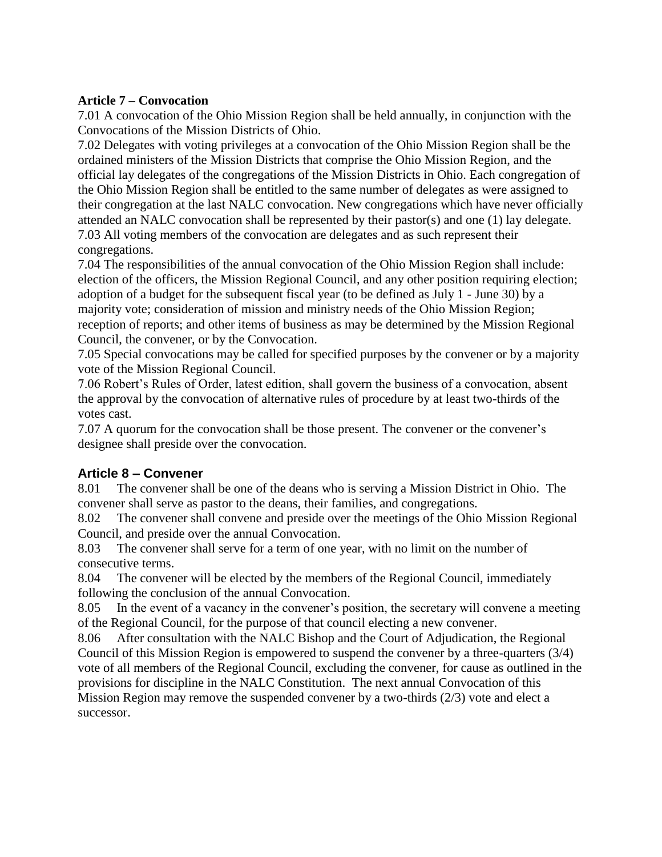#### **Article 7 – Convocation**

7.01 A convocation of the Ohio Mission Region shall be held annually, in conjunction with the Convocations of the Mission Districts of Ohio.

7.02 Delegates with voting privileges at a convocation of the Ohio Mission Region shall be the ordained ministers of the Mission Districts that comprise the Ohio Mission Region, and the official lay delegates of the congregations of the Mission Districts in Ohio. Each congregation of the Ohio Mission Region shall be entitled to the same number of delegates as were assigned to their congregation at the last NALC convocation. New congregations which have never officially attended an NALC convocation shall be represented by their pastor(s) and one (1) lay delegate. 7.03 All voting members of the convocation are delegates and as such represent their congregations.

7.04 The responsibilities of the annual convocation of the Ohio Mission Region shall include: election of the officers, the Mission Regional Council, and any other position requiring election; adoption of a budget for the subsequent fiscal year (to be defined as July 1 - June 30) by a majority vote; consideration of mission and ministry needs of the Ohio Mission Region; reception of reports; and other items of business as may be determined by the Mission Regional Council, the convener, or by the Convocation.

7.05 Special convocations may be called for specified purposes by the convener or by a majority vote of the Mission Regional Council.

7.06 Robert's Rules of Order, latest edition, shall govern the business of a convocation, absent the approval by the convocation of alternative rules of procedure by at least two-thirds of the votes cast.

7.07 A quorum for the convocation shall be those present. The convener or the convener's designee shall preside over the convocation.

# **Article 8 – Convener**

8.01 The convener shall be one of the deans who is serving a Mission District in Ohio. The convener shall serve as pastor to the deans, their families, and congregations.

8.02 The convener shall convene and preside over the meetings of the Ohio Mission Regional Council, and preside over the annual Convocation.

8.03 The convener shall serve for a term of one year, with no limit on the number of consecutive terms.

8.04 The convener will be elected by the members of the Regional Council, immediately following the conclusion of the annual Convocation.

8.05 In the event of a vacancy in the convener's position, the secretary will convene a meeting of the Regional Council, for the purpose of that council electing a new convener.

8.06 After consultation with the NALC Bishop and the Court of Adjudication, the Regional Council of this Mission Region is empowered to suspend the convener by a three-quarters (3/4) vote of all members of the Regional Council, excluding the convener, for cause as outlined in the provisions for discipline in the NALC Constitution. The next annual Convocation of this Mission Region may remove the suspended convener by a two-thirds (2/3) vote and elect a successor.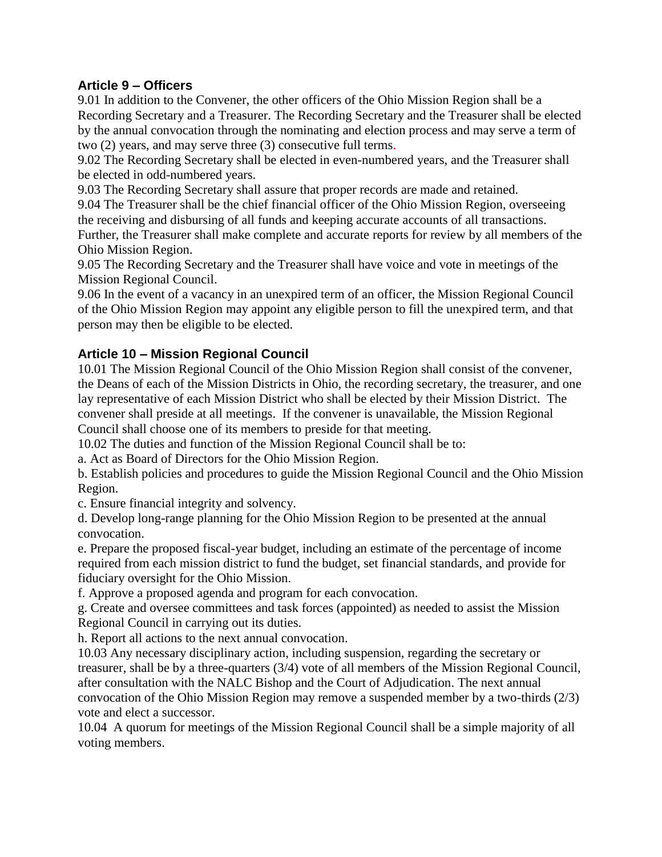## **Article 9 – Officers**

9.01 In addition to the Convener, the other officers of the Ohio Mission Region shall be a Recording Secretary and a Treasurer. The Recording Secretary and the Treasurer shall be elected by the annual convocation through the nominating and election process and may serve a term of two (2) years, and may serve three (3) consecutive full terms.

9.02 The Recording Secretary shall be elected in even-numbered years, and the Treasurer shall be elected in odd-numbered years.

9.03 The Recording Secretary shall assure that proper records are made and retained.

9.04 The Treasurer shall be the chief financial officer of the Ohio Mission Region, overseeing the receiving and disbursing of all funds and keeping accurate accounts of all transactions. Further, the Treasurer shall make complete and accurate reports for review by all members of the Ohio Mission Region.

9.05 The Recording Secretary and the Treasurer shall have voice and vote in meetings of the Mission Regional Council.

9.06 In the event of a vacancy in an unexpired term of an officer, the Mission Regional Council of the Ohio Mission Region may appoint any eligible person to fill the unexpired term, and that person may then be eligible to be elected.

## **Article 10 – Mission Regional Council**

10.01 The Mission Regional Council of the Ohio Mission Region shall consist of the convener, the Deans of each of the Mission Districts in Ohio, the recording secretary, the treasurer, and one lay representative of each Mission District who shall be elected by their Mission District. The convener shall preside at all meetings. If the convener is unavailable, the Mission Regional Council shall choose one of its members to preside for that meeting.

10.02 The duties and function of the Mission Regional Council shall be to:

a. Act as Board of Directors for the Ohio Mission Region.

b. Establish policies and procedures to guide the Mission Regional Council and the Ohio Mission Region.

c. Ensure financial integrity and solvency.

d. Develop long-range planning for the Ohio Mission Region to be presented at the annual convocation.

e. Prepare the proposed fiscal-year budget, including an estimate of the percentage of income required from each mission district to fund the budget, set financial standards, and provide for fiduciary oversight for the Ohio Mission.

f. Approve a proposed agenda and program for each convocation.

g. Create and oversee committees and task forces (appointed) as needed to assist the Mission Regional Council in carrying out its duties.

h. Report all actions to the next annual convocation.

10.03 Any necessary disciplinary action, including suspension, regarding the secretary or treasurer, shall be by a three-quarters (3/4) vote of all members of the Mission Regional Council, after consultation with the NALC Bishop and the Court of Adjudication. The next annual convocation of the Ohio Mission Region may remove a suspended member by a two-thirds (2/3) vote and elect a successor.

10.04 A quorum for meetings of the Mission Regional Council shall be a simple majority of all voting members.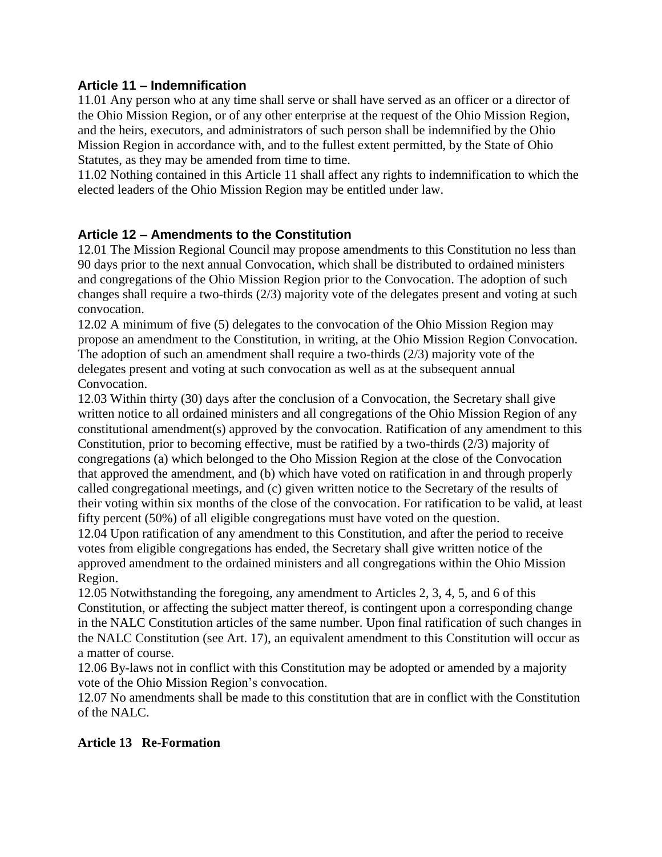#### **Article 11 – Indemnification**

11.01 Any person who at any time shall serve or shall have served as an officer or a director of the Ohio Mission Region, or of any other enterprise at the request of the Ohio Mission Region, and the heirs, executors, and administrators of such person shall be indemnified by the Ohio Mission Region in accordance with, and to the fullest extent permitted, by the State of Ohio Statutes, as they may be amended from time to time.

11.02 Nothing contained in this Article 11 shall affect any rights to indemnification to which the elected leaders of the Ohio Mission Region may be entitled under law.

# **Article 12 – Amendments to the Constitution**

12.01 The Mission Regional Council may propose amendments to this Constitution no less than 90 days prior to the next annual Convocation, which shall be distributed to ordained ministers and congregations of the Ohio Mission Region prior to the Convocation. The adoption of such changes shall require a two-thirds (2/3) majority vote of the delegates present and voting at such convocation.

12.02 A minimum of five (5) delegates to the convocation of the Ohio Mission Region may propose an amendment to the Constitution, in writing, at the Ohio Mission Region Convocation. The adoption of such an amendment shall require a two-thirds (2/3) majority vote of the delegates present and voting at such convocation as well as at the subsequent annual Convocation.

12.03 Within thirty (30) days after the conclusion of a Convocation, the Secretary shall give written notice to all ordained ministers and all congregations of the Ohio Mission Region of any constitutional amendment(s) approved by the convocation. Ratification of any amendment to this Constitution, prior to becoming effective, must be ratified by a two-thirds (2/3) majority of congregations (a) which belonged to the Oho Mission Region at the close of the Convocation that approved the amendment, and (b) which have voted on ratification in and through properly called congregational meetings, and (c) given written notice to the Secretary of the results of their voting within six months of the close of the convocation. For ratification to be valid, at least fifty percent (50%) of all eligible congregations must have voted on the question.

12.04 Upon ratification of any amendment to this Constitution, and after the period to receive votes from eligible congregations has ended, the Secretary shall give written notice of the approved amendment to the ordained ministers and all congregations within the Ohio Mission Region.

12.05 Notwithstanding the foregoing, any amendment to Articles 2, 3, 4, 5, and 6 of this Constitution, or affecting the subject matter thereof, is contingent upon a corresponding change in the NALC Constitution articles of the same number. Upon final ratification of such changes in the NALC Constitution (see Art. 17), an equivalent amendment to this Constitution will occur as a matter of course.

12.06 By-laws not in conflict with this Constitution may be adopted or amended by a majority vote of the Ohio Mission Region's convocation.

12.07 No amendments shall be made to this constitution that are in conflict with the Constitution of the NALC.

# **Article 13 Re-Formation**